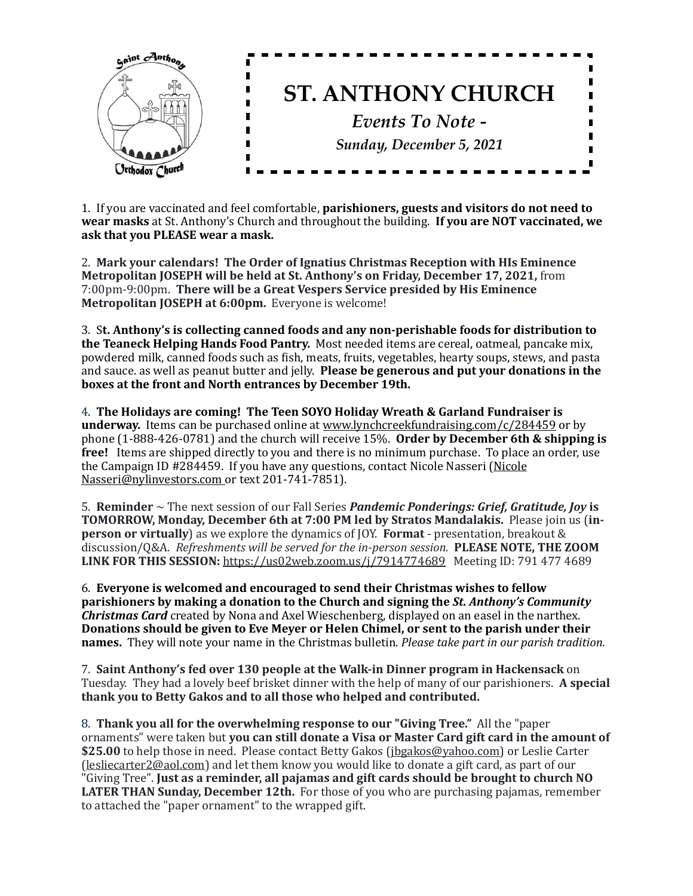

1. If you are vaccinated and feel comfortable, **parishioners, guests and visitors do not need to wear masks** at St. Anthony's Church and throughout the building. **If you are NOT vaccinated, we** ask that you PLEASE wear a mask.

2. Mark your calendars! The Order of Ignatius Christmas Reception with HIs Eminence **Metropolitan JOSEPH will be held at St. Anthony's on Friday, December 17, 2021, from** 7:00pm-9:00pm. There will be a Great Vespers Service presided by His Eminence **Metropolitan JOSEPH at 6:00pm.** Everyone is welcome!

3. St. Anthony's is collecting canned foods and any non-perishable foods for distribution to **the Teaneck Helping Hands Food Pantry.** Most needed items are cereal, oatmeal, pancake mix, powdered milk, canned foods such as fish, meats, fruits, vegetables, hearty soups, stews, and pasta and sauce. as well as peanut butter and jelly. **Please be generous and put your donations in the boxes at the front and North entrances by December 19th.** 

4. The Holidays are coming! The Teen SOYO Holiday Wreath & Garland Fundraiser is **underway.** Items can be purchased online at www.lynchcreekfundraising.com/c/284459 or by phone  $(1-888-426-0781)$  and the church will receive  $15%$ . **Order by December 6th & shipping is free!** Items are shipped directly to you and there is no minimum purchase. To place an order, use the Campaign ID  $\#284459$ . If you have any questions, contact Nicole Nasseri (Nicole Nasseri@nylinvestors.com or text 201-741-7851).

5. **Reminder**  $\sim$  The next session of our Fall Series *Pandemic Ponderings: Grief, Gratitude, Joy* is **TOMORROW, Monday, December 6th at 7:00 PM led by Stratos Mandalakis.** Please join us (in**person or virtually**) as we explore the dynamics of JOY. **Format** - presentation, breakout & discussion/Q&A. Refreshments will be served for the in-person session. PLEASE NOTE, THE ZOOM **LINK FOR THIS SESSION:** https://us02web.zoom.us/j/7914774689 Meeting ID: 791 477 4689

6. **Everyone is welcomed and encouraged to send their Christmas wishes to fellow parishioners** by making a donation to the Church and signing the *St. Anthony's Community Christmas Card* created by Nona and Axel Wieschenberg, displayed on an easel in the narthex. Donations should be given to Eve Meyer or Helen Chimel, or sent to the parish under their **names.** They will note your name in the Christmas bulletin. *Please take part in our parish tradition.* 

7. Saint Anthony's fed over 130 people at the Walk-in Dinner program in Hackensack on Tuesday. They had a lovely beef brisket dinner with the help of many of our parishioners. **A special** thank you to Betty Gakos and to all those who helped and contributed.

8. **Thank you all for the overwhelming response to our "Giving Tree."** All the "paper ornaments" were taken but **you can still donate a Visa or Master Card gift card in the amount of** \$25.00 to help those in need. Please contact Betty Gakos ([jbgakos@yahoo.com\)](mailto:jbgakos@yahoo.com) or Leslie Carter  $\alpha$  [\(lesliecarter2@aol.com](mailto:lesliecarter2@aol.com)) and let them know you would like to donate a gift card, as part of our "Giving Tree". Just as a reminder, all pajamas and gift cards should be brought to church NO **LATER THAN Sunday, December 12th.** For those of you who are purchasing pajamas, remember to attached the "paper ornament" to the wrapped gift.